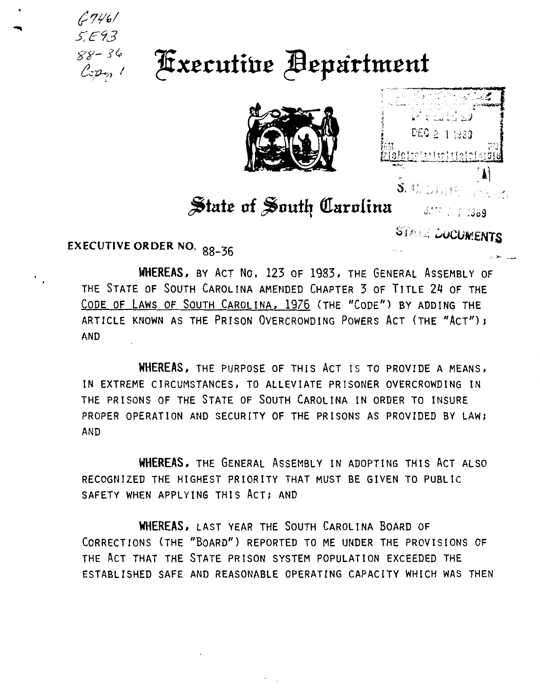$6746/$  $5.593$  $88 - 36$  $Cep<sub>n</sub>$  1

**Executive Bepartment** 





## State of South Carolina

**STAIL DOCUMENTS** 

**EXECUTIVE ORDER NO. 88-36** 

WHEREAS, BY ACT No. 123 OF 1983, THE GENERAL ASSEMBLY OF THE STATE OF SOUTH CAROLINA AMENDED CHAPTER 3 OF TITLE 24 OF THE CODE OF LAWS OF SOUTH CAROLINA, 1976 (THE "CODE") BY ADDING THE ARTICLE KNOWN AS THE PRISON OVERCROWDING POWERS ACT (THE "ACT"); **AND** 

WHEREAS, THE PURPOSE OF THIS ACT IS TO PROVIDE A MEANS, IN EXTREME CIRCUMSTANCES, TO ALLEVIATE PRISONER OVERCROWDING IN THE PRISONS OF THE STATE OF SOUTH CAROLINA IN ORDER TO INSURE PROPER OPERATION AND SECURITY OF THE PRISONS AS PROVIDED BY LAW; AND

WHEREAS, THE GENERAL ASSEMBLY IN ADOPTING THIS ACT ALSO RECOGNIZED THE HIGHEST PRIORITY THAT MUST BE GIVEN TO PUBLIC SAFETY WHEN APPLYING THIS ACT; AND

WHEREAS, LAST YEAR THE SOUTH CAROLINA BOARD OF CORRECTIONS (THE "BOARD") REPORTED TO ME UNDER THE PROVISIONS OF THE ACT THAT THE STATE PRISON SYSTEM POPULATION EXCEEDED THE ESTABLISHED SAFE AND REASONABLE OPERATING CAPACITY WHICH WAS THEN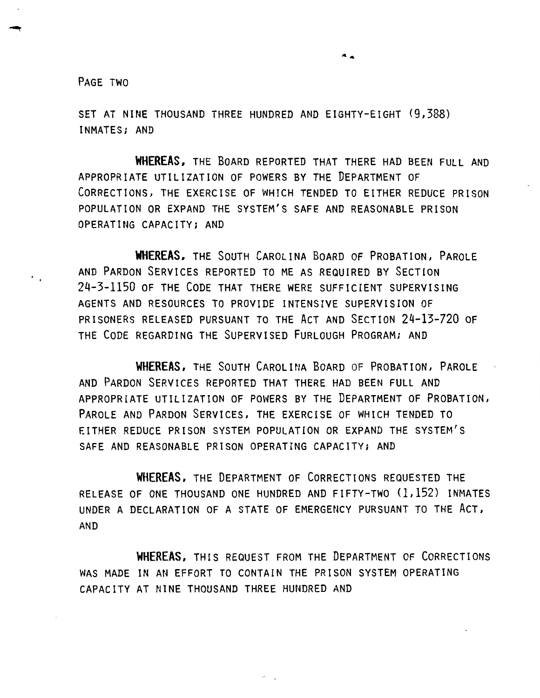PAGE TWO

SET AT NINE THOUSAND THREE HUNDRED AND EIGHTY-EIGHT (9,388) INMATES; AND

**WHEREAS.** THE BOARD REPORTED THAT THERE HAD BEEN FULL AND APPROPRIATE UTILIZATION OF POWERS BY THE DEPARTMENT OF CORRECTIONS, THE EXERCISE OF WHICH TENDED TO EITHER REDUCE PRISON POPULATION OR EXPAND THE SYSTEM'S SAFE AND REASONABLE PRISON OPERATING CAPACITY; AND

**WHEREAS,** THE SOUTH CAROLINA BOARD OF PROBATION, PAROLE AND PARDON SERVICES REPORTED TO ME AS REQUIRED BY SECTION 24-3-1150 OF THE CODE THAT THERE WERE SUFFICIENT SUPERVISING AGENTS AND RESOURCES TO PROVIDE INTENSIVE SUPERVISION OF PRISONERS RELEASED PURSUANT TO THE ACT AND SECTION 24-13-720 OF THE CODE REGARDING THE SUPERVISED FURLOUGH PROGRAM; AND

**WHEREAS,** THE SoUTH CAROLINA BOARD OF PROBATION, PAROLE AND PARDON SERVICES REPORTED THAT THERE HAD BEEN FULL AND APPROPRIATE UTILIZATION OF POWERS BY THE DEPARTMENT OF PROBATION, PAROLE AND PARDON SERVICES, THE EXERCISE OF WHICH TENDED TO EITHER REDUCE PRISON SYSTEM POPULATION OR EXPAND THE SYSTEM'S SAFE AND REASONABLE PRISON OPERATING CAPACITY; AND

**WHEREAS,** THE DEPARTMENT OF CORRECTIONS REQUESTED THE RELEASE OF ONE THOUSAND ONE HUNDRED AND FIFTY-TWO (1,152) INMATES UNDER A DECLARATION OF A STATE OF EMERGENCY PURSUANT TO THE AcT, AND

**WHEREAS,** THIS REQUEST FROM THE DEPARTMENT OF CoRRECTIONS WAS MADE IN AN EFFORT TO CONTAIN THE PRISON SYSTEM OPERATING CAPACITY AT NINE THOUSAND THREE HUNDRED AND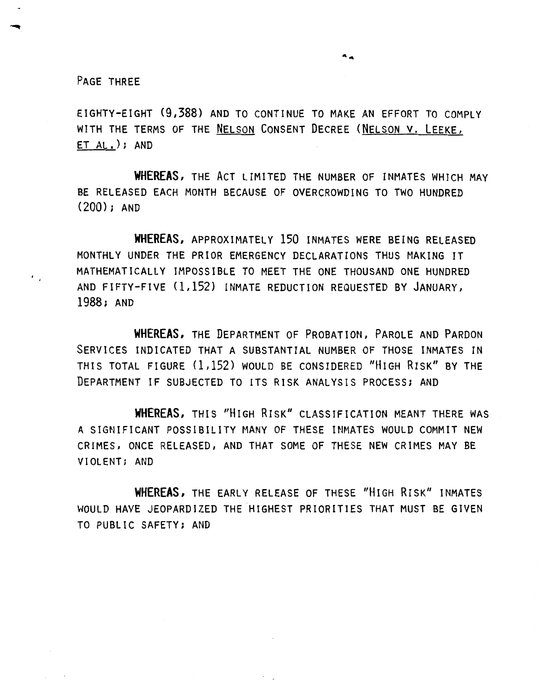PAGE THREE

EIGHTY-EIGHT (9,388) AND TO CONTINUE TO MAKE AN EFFORT TO COMPLY WITH THE TERMS OF THE NELSON CONSENT DECREE (NELSON V, LEEKE, ET AL. ); AND

 $\ddot{\bullet}$ 

**WHEREAS,** THE AcT LIMITED THE NUMBER OF INMATES WHICH MAY BE RELEASED EACH MONTH BECAUSE OF OVERCROWDING TO TWO HUNDRED (200); AND

**WHEREAS,** APPROXIMATELY 150 INMATES WERE BEING RELEASED MONTHLY UNDER THE PRIOR EMERGENCY DECLARATIONS THUS MAKING IT MATHEMATICALLY IMPOSSIBLE TO MEET THE ONE THOUSAND ONE HUNDRED AND FIFTY-FIVE (1,152) INMATE REDUCTION REQUESTED BY JANUARY, 1988; AND

**WHEREAS,** THE DEPARTMENT OF PROBATION, PAROLE AND PARDON SERVICES INDICATED THAT A SUBSTANTIAL NUMBER OF THOSE INMATES IN THIS TOTAL FIGURE (1,152) WOULD BE CONSIDERED "HIGH RISK" BY THE DEPARTMENT IF SUBJECTED TO ITS RISK ANALYSIS PROCESS; AND

**WHEREAS,** THIS "HIGH RISK" CLASSIFICATION MEANT THERE WAS A SIGNIFICANT POSSIBILITY MANY OF THESE INMATES WOULD COMMIT NEW CRIMES, ONCE RELEASED, AND THAT SOME OF THESE NEW CRIMES MAY BE VIOLENT; AND

**WHEREAS,** THE EARLY RELEASE OF THESE "HIGH RISK" INMATES WOULD HAVE JEOPARDIZED THE HIGHEST PRIORITIES THAT MUST BE GIVEN TO PUBLIC SAFETY; AND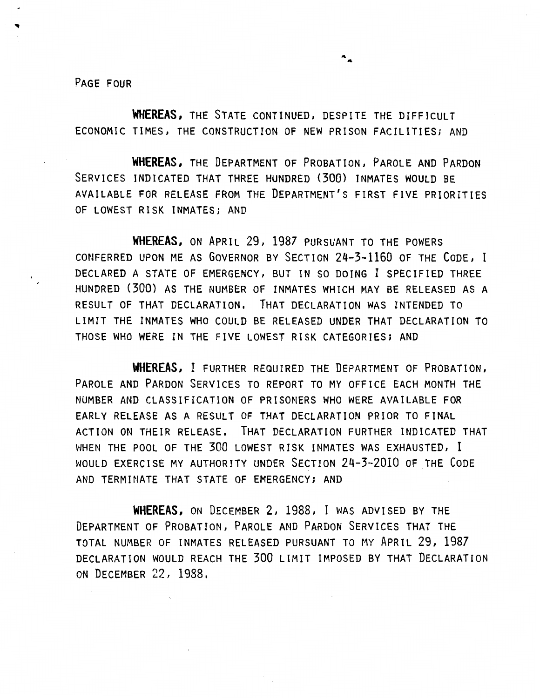PAGE FOUR

WHEREAS, THE STATE CONTINUED, DESPITE THE DIFFICULT ECONOMIC TIMES, THE CONSTRUCTION OF NEW PRISON FACILITIES; AND

**WHEREAS,** THE DEPARTMENT OF PROBATION, PAROLE AND PARDON SERVICES INDICATED THAT THREE HUNDRED (300) INMATES WOULD BE AVAILABLE FOR RELEASE FROM THE DEPARTMENT'S FIRST FIVE PRIORITIES OF LOWEST RISK INMATES; AND

**WHEREAS,** ON APRIL 29, 1987 PURSUANT TO THE POWERS CONFERRED UPON ME AS GOVERNOR BY SECTION 24-3-1160 OF THE CODE, I DECLARED A STATE OF EMERGENCY, BUT IN SO DOING I SPECIFIED THREE HUNDRED (300) AS THE NUMBER OF INMATES WHICH MAY BE RELEASED AS A RESULT OF THAT DECLARATION. THAT DECLARATION WAS INTENDED TO LIMIT THE INMATES WHO COULD BE RELEASED UNDER THAT DECLARATION TO THOSE WHO WERE IN THE FIVE LOWEST RISK CATEGORIES; AND

**WHEREAS,** I FURTHER REQUIRED THE DEPARTMENT OF PROBATION, PAROLE AND PARDON SERVICES TO REPORT TO MY OFFICE EACH MONTH THE NUMBER AND CLASSIFICATION OF PRISONERS WHO WERE AVAILABLE FOR EARLY RELEASE AS A RESULT OF THAT DECLARATION PRIOR TO FINAL ACTION ON THEIR RELEASE. THAT DECLARATION FURTHER INDICATED THAT WHEN THE POOL OF THE 300 LOWEST RISK INMATES WAS EXHAUSTED, I WOULD EXERCISE MY AUTHORITY UNDER SECTION 24-3-2010 OF THE CODE AND TERMINATE THAT STATE OF EMERGENCY; AND

**WHEREAS,** ON DECEMBER 2, 1988, I WAS ADVISED BY THE DEPARTMENT OF PROBATION, PAROLE AND PARDON SERVICES THAT THE TOTAL NUMBER OF INMATES RELEASED PURSUANT TO MY APRIL 29, 1987 DECLARATION WOULD REACH THE 300 LIMIT IMPOSED BY THAT DECLARATION ON DECEMBER 22, 1988.